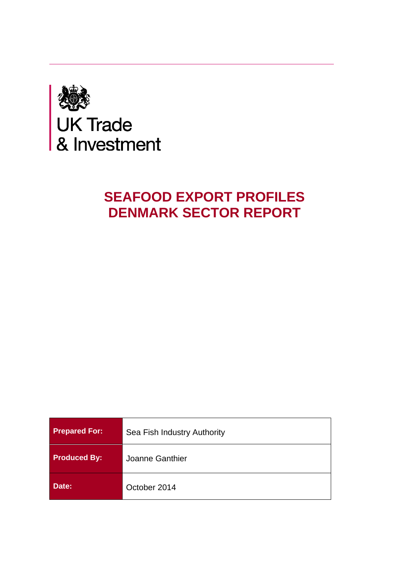

# **SEAFOOD EXPORT PROFILES DENMARK SECTOR REPORT**

| <b>Prepared For:</b> | Sea Fish Industry Authority |
|----------------------|-----------------------------|
| <b>Produced By:</b>  | Joanne Ganthier             |
| Date:                | October 2014                |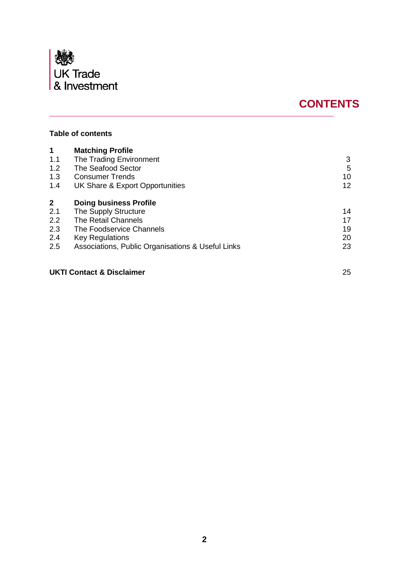

## **CONTENTS**

## **Table of contents**

| 1            | <b>Matching Profile</b>                           |    |
|--------------|---------------------------------------------------|----|
| 1.1          | The Trading Environment                           | 3  |
| 1.2          | The Seafood Sector                                | 5  |
| 1.3          | <b>Consumer Trends</b>                            | 10 |
| 1.4          | UK Share & Export Opportunities                   | 12 |
| $\mathbf{2}$ | <b>Doing business Profile</b>                     |    |
| 2.1          | The Supply Structure                              | 14 |
| 2.2          | The Retail Channels                               | 17 |
| 2.3          | The Foodservice Channels                          | 19 |
| 2.4          | Key Regulations                                   | 20 |
| 2.5          | Associations, Public Organisations & Useful Links | 23 |

## **UKTI Contact & Disclaimer** 25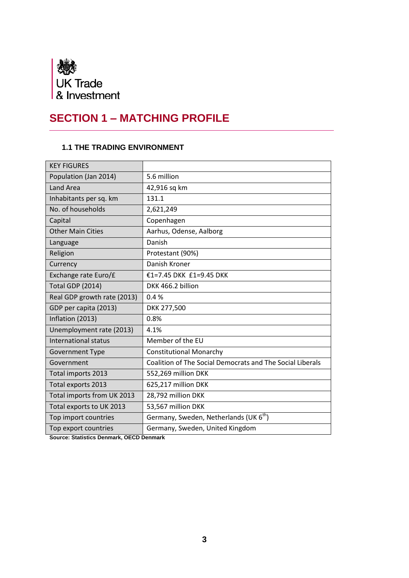

## **SECTION 1 – MATCHING PROFILE**

## **1.1 THE TRADING ENVIRONMENT**

| <b>KEY FIGURES</b>          |                                                           |
|-----------------------------|-----------------------------------------------------------|
| Population (Jan 2014)       | 5.6 million                                               |
| <b>Land Area</b>            | 42,916 sq km                                              |
| Inhabitants per sq. km      | 131.1                                                     |
| No. of households           | 2,621,249                                                 |
| Capital                     | Copenhagen                                                |
| <b>Other Main Cities</b>    | Aarhus, Odense, Aalborg                                   |
| Language                    | Danish                                                    |
| Religion                    | Protestant (90%)                                          |
| Currency                    | Danish Kroner                                             |
| Exchange rate Euro/£        | €1=7.45 DKK £1=9.45 DKK                                   |
| <b>Total GDP (2014)</b>     | DKK 466.2 billion                                         |
| Real GDP growth rate (2013) | 0.4%                                                      |
| GDP per capita (2013)       | DKK 277,500                                               |
| Inflation (2013)            | 0.8%                                                      |
| Unemployment rate (2013)    | 4.1%                                                      |
| <b>International status</b> | Member of the EU                                          |
| <b>Government Type</b>      | <b>Constitutional Monarchy</b>                            |
| Government                  | Coalition of The Social Democrats and The Social Liberals |
| Total imports 2013          | 552,269 million DKK                                       |
| Total exports 2013          | 625,217 million DKK                                       |
| Total imports from UK 2013  | 28,792 million DKK                                        |
| Total exports to UK 2013    | 53,567 million DKK                                        |
| Top import countries        | Germany, Sweden, Netherlands (UK 6 <sup>th</sup> )        |
| Top export countries        | Germany, Sweden, United Kingdom                           |

**Source: Statistics Denmark, OECD Denmark**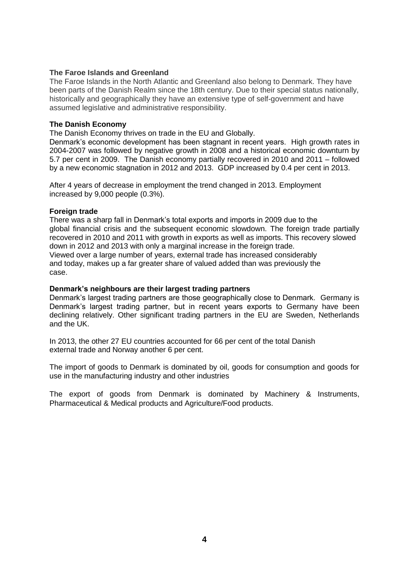#### **The Faroe Islands and Greenland**

The Faroe Islands in the North Atlantic and Greenland also belong to Denmark. They have been parts of the Danish Realm since the 18th century. Due to their special status nationally, historically and geographically they have an extensive type of self-government and have assumed legislative and administrative responsibility.

#### **The Danish Economy**

The Danish Economy thrives on trade in the EU and Globally.

Denmark's economic development has been stagnant in recent years. High growth rates in 2004-2007 was followed by negative growth in 2008 and a historical economic downturn by 5.7 per cent in 2009. The Danish economy partially recovered in 2010 and 2011 – followed by a new economic stagnation in 2012 and 2013. GDP increased by 0.4 per cent in 2013.

After 4 years of decrease in employment the trend changed in 2013. Employment increased by 9,000 people (0.3%).

#### **Foreign trade**

There was a sharp fall in Denmark's total exports and imports in 2009 due to the global financial crisis and the subsequent economic slowdown. The foreign trade partially recovered in 2010 and 2011 with growth in exports as well as imports. This recovery slowed down in 2012 and 2013 with only a marginal increase in the foreign trade. Viewed over a large number of years, external trade has increased considerably and today, makes up a far greater share of valued added than was previously the case.

#### **Denmark's neighbours are their largest trading partners**

Denmark's largest trading partners are those geographically close to Denmark. Germany is Denmark's largest trading partner, but in recent years exports to Germany have been declining relatively. Other significant trading partners in the EU are Sweden, Netherlands and the UK.

In 2013, the other 27 EU countries accounted for 66 per cent of the total Danish external trade and Norway another 6 per cent.

The import of goods to Denmark is dominated by oil, goods for consumption and goods for use in the manufacturing industry and other industries

The export of goods from Denmark is dominated by Machinery & Instruments, Pharmaceutical & Medical products and Agriculture/Food products.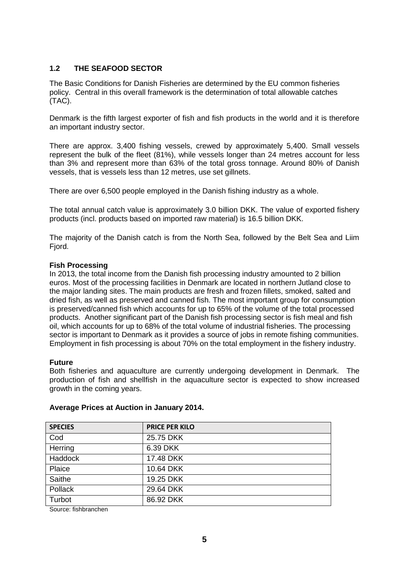### **1.2 THE SEAFOOD SECTOR**

The Basic Conditions for Danish Fisheries are determined by the EU common fisheries policy. Central in this overall framework is the determination of total allowable catches (TAC).

Denmark is the fifth largest exporter of fish and fish products in the world and it is therefore an important industry sector.

There are approx. 3,400 fishing vessels, crewed by approximately 5,400. Small vessels represent the bulk of the fleet (81%), while vessels longer than 24 metres account for less than 3% and represent more than 63% of the total gross tonnage. Around 80% of Danish vessels, that is vessels less than 12 metres, use set gillnets.

There are over 6,500 people employed in the Danish fishing industry as a whole.

The total annual catch value is approximately 3.0 billion DKK. The value of exported fishery products (incl. products based on imported raw material) is 16.5 billion DKK.

The majority of the Danish catch is from the North Sea, followed by the Belt Sea and Liim Fjord.

#### **Fish Processing**

In 2013, the total income from the Danish fish processing industry amounted to 2 billion euros. Most of the processing facilities in Denmark are located in northern Jutland close to the major landing sites. The main products are fresh and frozen fillets, smoked, salted and dried fish, as well as preserved and canned fish. The most important group for consumption is preserved/canned fish which accounts for up to 65% of the volume of the total processed products. Another significant part of the Danish fish processing sector is fish meal and fish oil, which accounts for up to 68% of the total volume of industrial fisheries. The processing sector is important to Denmark as it provides a source of jobs in remote fishing communities. Employment in fish processing is about 70% on the total employment in the fishery industry.

#### **Future**

Both fisheries and aquaculture are currently undergoing development in Denmark. The production of fish and shellfish in the aquaculture sector is expected to show increased growth in the coming years.

| <b>SPECIES</b> | <b>PRICE PER KILO</b> |
|----------------|-----------------------|
| Cod            | 25.75 DKK             |
| Herring        | 6.39 DKK              |
| <b>Haddock</b> | 17.48 DKK             |
| Plaice         | 10.64 DKK             |
| Saithe         | 19.25 DKK             |
| <b>Pollack</b> | 29.64 DKK             |
| Turbot         | 86.92 DKK             |

#### **Average Prices at Auction in January 2014.**

Source: fishbranchen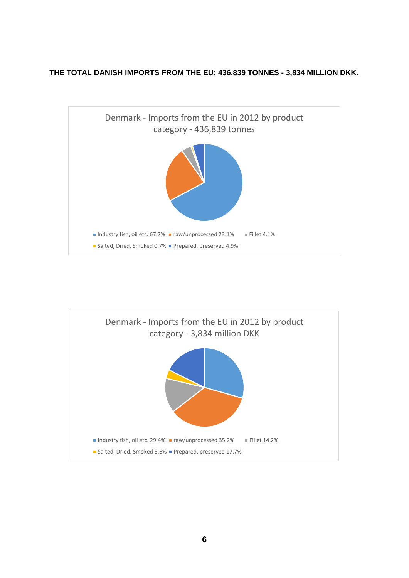## **THE TOTAL DANISH IMPORTS FROM THE EU: 436,839 TONNES - 3,834 MILLION DKK.**



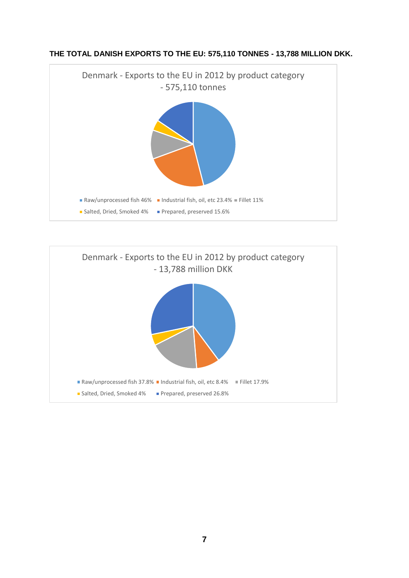



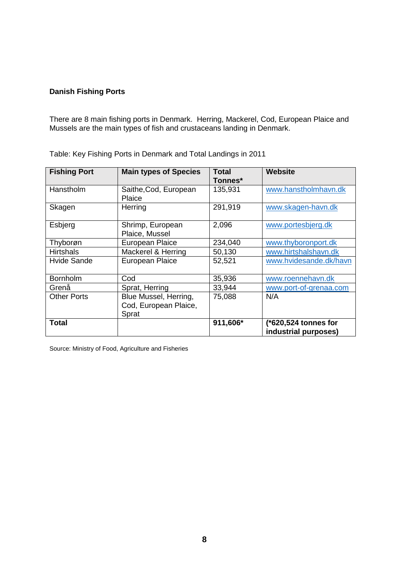#### **Danish Fishing Ports**

There are 8 main fishing ports in Denmark. Herring, Mackerel, Cod, European Plaice and Mussels are the main types of fish and crustaceans landing in Denmark.

| <b>Fishing Port</b> | <b>Main types of Species</b>                            | Total<br>Tonnes* | <b>Website</b>                               |
|---------------------|---------------------------------------------------------|------------------|----------------------------------------------|
| Hanstholm           | Saithe, Cod, European<br>Plaice                         | 135,931          | www.hanstholmhavn.dk                         |
| Skagen              | Herring                                                 | 291,919          | www.skagen-havn.dk                           |
| Esbjerg             | Shrimp, European<br>Plaice, Mussel                      | 2,096            | www.portesbjerg.dk                           |
| Thyborøn            | <b>European Plaice</b>                                  | 234,040          | www.thyboronport.dk                          |
| <b>Hirtshals</b>    | Mackerel & Herring                                      | 50,130           | www.hirtshalshavn.dk                         |
| <b>Hvide Sande</b>  | <b>European Plaice</b>                                  | 52,521           | www.hvidesande.dk/havn                       |
| <b>Bornholm</b>     | Cod                                                     | 35,936           | www.roennehavn.dk                            |
| Grenå               | Sprat, Herring                                          | 33,944           | www.port-of-grenaa.com                       |
| <b>Other Ports</b>  | Blue Mussel, Herring,<br>Cod, European Plaice,<br>Sprat | 75,088           | N/A                                          |
| <b>Total</b>        |                                                         | 911,606*         | (*620,524 tonnes for<br>industrial purposes) |

Table: Key Fishing Ports in Denmark and Total Landings in 2011

Source: Ministry of Food, Agriculture and Fisheries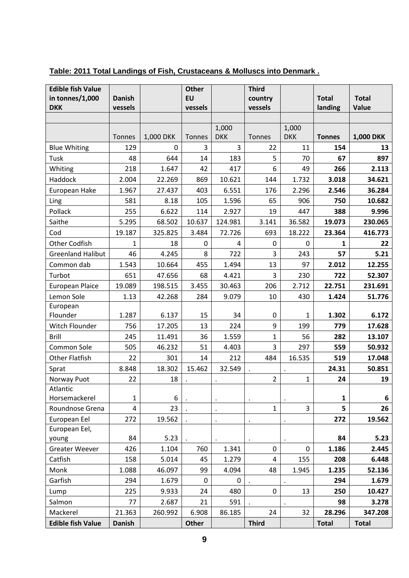| <b>Edible fish Value</b>  |               |           | <b>Other</b> |            | <b>Third</b>            |             |               |                  |
|---------------------------|---------------|-----------|--------------|------------|-------------------------|-------------|---------------|------------------|
| in tonnes/1,000           | <b>Danish</b> |           | <b>EU</b>    |            | country                 |             | <b>Total</b>  | <b>Total</b>     |
| <b>DKK</b>                | vessels       |           | vessels      |            | vessels                 |             | landing       | Value            |
|                           |               |           |              | 1,000      |                         | 1,000       |               |                  |
|                           | Tonnes        | 1,000 DKK | Tonnes       | <b>DKK</b> | Tonnes                  | <b>DKK</b>  | <b>Tonnes</b> | <b>1,000 DKK</b> |
| <b>Blue Whiting</b>       | 129           | 0         | 3            | 3          | 22                      | 11          | 154           | 13               |
| Tusk                      | 48            | 644       | 14           | 183        | 5                       | 70          | 67            | 897              |
| Whiting                   | 218           | 1.647     | 42           | 417        | 6                       | 49          | 266           | 2.113            |
| Haddock                   | 2.004         | 22.269    | 869          | 10.621     | 144                     | 1.732       | 3.018         | 34.621           |
| European Hake             | 1.967         | 27.437    | 403          | 6.551      | 176                     | 2.296       | 2.546         | 36.284           |
| Ling                      | 581           | 8.18      | 105          | 1.596      | 65                      | 906         | 750           | 10.682           |
| Pollack                   | 255           | 6.622     | 114          | 2.927      | 19                      | 447         | 388           | 9.996            |
| Saithe                    | 5.295         | 68.502    | 10.637       | 124.981    | 3.141                   | 36.582      | 19.073        | 230.065          |
| Cod                       | 19.187        | 325.825   | 3.484        | 72.726     | 693                     | 18.222      | 23.364        | 416.773          |
| <b>Other Codfish</b>      | $\mathbf{1}$  | 18        | 0            | 4          | 0                       | $\mathbf 0$ | 1             | 22               |
| <b>Greenland Halibut</b>  | 46            | 4.245     | 8            | 722        | 3                       | 243         | 57            | 5.21             |
| Common dab                | 1.543         | 10.664    | 455          | 1.494      | 13                      | 97          | 2.012         | 12.255           |
| Turbot                    | 651           | 47.656    | 68           | 4.421      | 3                       | 230         | 722           | 52.307           |
| <b>European Plaice</b>    | 19.089        | 198.515   | 3.455        | 30.463     | 206                     | 2.712       | 22.751        | 231.691          |
| Lemon Sole                | 1.13          | 42.268    | 284          | 9.079      | 10                      | 430         | 1.424         | 51.776           |
| European                  |               |           |              |            |                         |             |               |                  |
| Flounder                  | 1.287         | 6.137     | 15           | 34         | $\pmb{0}$               | 1           | 1.302         | 6.172            |
| Witch Flounder            | 756           | 17.205    | 13           | 224        | 9                       | 199         | 779           | 17.628           |
| Brill                     | 245           | 11.491    | 36           | 1.559      | $\mathbf{1}$            | 56          | 282           | 13.107           |
| Common Sole               | 505           | 46.232    | 51           | 4.403      | $\overline{3}$          | 297         | 559           | 50.932           |
| <b>Other Flatfish</b>     | 22            | 301       | 14           | 212        | 484                     | 16.535      | 519           | 17.048           |
| Sprat                     | 8.848         | 18.302    | 15.462       | 32.549     |                         |             | 24.31         | 50.851           |
| Norway Puot               | 22            | 18        |              |            | $\overline{2}$          | 1           | 24            | 19               |
| Atlantic<br>Horsemackerel | 1             | 6         |              |            |                         |             | 1             | 6                |
| Roundnose Grena           | 4             | 23        |              | $\bullet$  | $\mathbf{1}$            | 3           | 5             | 26               |
| European Eel              | 272           | 19.562    |              |            |                         |             | 272           | 19.562           |
| European Eel,             |               |           |              |            |                         |             |               |                  |
| young                     | 84            | 5.23      |              |            |                         |             | 84            | 5.23             |
| <b>Greater Weever</b>     | 426           | 1.104     | 760          | 1.341      | 0                       | 0           | 1.186         | 2.445            |
| Catfish                   | 158           | 5.014     | 45           | 1.279      | $\overline{\mathbf{4}}$ | 155         | 208           | 6.448            |
| Monk                      | 1.088         | 46.097    | 99           | 4.094      | 48                      | 1.945       | 1.235         | 52.136           |
| Garfish                   | 294           | 1.679     | 0            | 0          |                         |             | 294           | 1.679            |
| Lump                      | 225           | 9.933     | 24           | 480        | $\pmb{0}$               | 13          | 250           | 10.427           |
| Salmon                    | 77            | 2.687     | 21           | 591        |                         |             | 98            | 3.278            |
| Mackerel                  | 21.363        | 260.992   | 6.908        | 86.185     | 24                      | 32          | 28.296        | 347.208          |
| <b>Edible fish Value</b>  | <b>Danish</b> |           | <b>Other</b> |            | <b>Third</b>            |             | <b>Total</b>  | <b>Total</b>     |

## **Table: 2011 Total Landings of Fish, Crustaceans & Molluscs into Denmark .**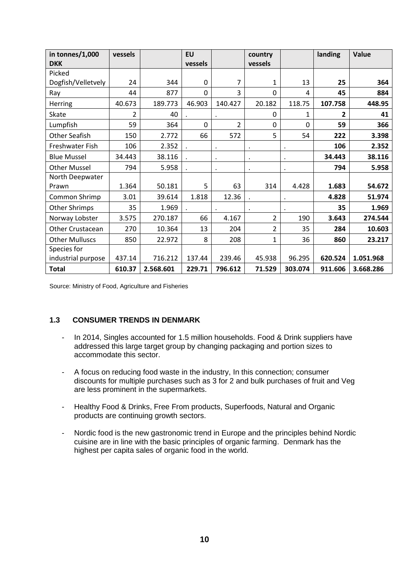| in tonnes/1,000       | vessels |           | <b>EU</b> |           | country        |           | landing      | Value     |
|-----------------------|---------|-----------|-----------|-----------|----------------|-----------|--------------|-----------|
| <b>DKK</b>            |         |           | vessels   |           | vessels        |           |              |           |
| Picked                |         |           |           |           |                |           |              |           |
| Dogfish/Velletvely    | 24      | 344       | $\Omega$  | 7         | 1              | 13        | 25           | 364       |
| Ray                   | 44      | 877       | $\Omega$  | 3         | $\Omega$       | 4         | 45           | 884       |
| <b>Herring</b>        | 40.673  | 189.773   | 46.903    | 140.427   | 20.182         | 118.75    | 107.758      | 448.95    |
| Skate                 | 2       | 40        |           | $\bullet$ | $\Omega$       | 1         | $\mathbf{2}$ | 41        |
| Lumpfish              | 59      | 364       | $\Omega$  | 2         | $\Omega$       | $\Omega$  | 59           | 366       |
| <b>Other Seafish</b>  | 150     | 2.772     | 66        | 572       | 5              | 54        | 222          | 3.398     |
| Freshwater Fish       | 106     | 2.352     | $\cdot$   |           | $\bullet$      | $\bullet$ | 106          | 2.352     |
| <b>Blue Mussel</b>    | 34.443  | 38.116    |           | $\cdot$   | $\bullet$      | $\bullet$ | 34.443       | 38.116    |
| <b>Other Mussel</b>   | 794     | 5.958     | $\cdot$   | $\cdot$   | $\bullet$      | $\bullet$ | 794          | 5.958     |
| North Deepwater       |         |           |           |           |                |           |              |           |
| Prawn                 | 1.364   | 50.181    | 5         | 63        | 314            | 4.428     | 1.683        | 54.672    |
| Common Shrimp         | 3.01    | 39.614    | 1.818     | 12.36     |                |           | 4.828        | 51.974    |
| Other Shrimps         | 35      | 1.969     |           |           | $\bullet$      | $\bullet$ | 35           | 1.969     |
| Norway Lobster        | 3.575   | 270.187   | 66        | 4.167     | $\overline{2}$ | 190       | 3.643        | 274.544   |
| Other Crustacean      | 270     | 10.364    | 13        | 204       | 2              | 35        | 284          | 10.603    |
| <b>Other Mulluscs</b> | 850     | 22.972    | 8         | 208       | 1              | 36        | 860          | 23.217    |
| Species for           |         |           |           |           |                |           |              |           |
| industrial purpose    | 437.14  | 716.212   | 137.44    | 239.46    | 45.938         | 96.295    | 620.524      | 1.051.968 |
| <b>Total</b>          | 610.37  | 2.568.601 | 229.71    | 796.612   | 71.529         | 303.074   | 911.606      | 3.668.286 |

Source: Ministry of Food, Agriculture and Fisheries

#### **1.3 CONSUMER TRENDS IN DENMARK**

- In 2014, Singles accounted for 1.5 million households. Food & Drink suppliers have addressed this large target group by changing packaging and portion sizes to accommodate this sector.
- A focus on reducing food waste in the industry, In this connection; consumer discounts for multiple purchases such as 3 for 2 and bulk purchases of fruit and Veg are less prominent in the supermarkets.
- Healthy Food & Drinks, Free From products, Superfoods, Natural and Organic products are continuing growth sectors.
- Nordic food is the new gastronomic trend in Europe and the principles behind Nordic cuisine are in line with the basic principles of organic farming. Denmark has the highest per capita sales of organic food in the world.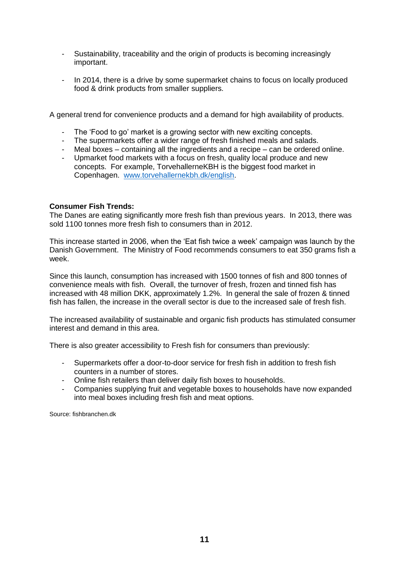- Sustainability, traceability and the origin of products is becoming increasingly important.
- In 2014, there is a drive by some supermarket chains to focus on locally produced food & drink products from smaller suppliers.

A general trend for convenience products and a demand for high availability of products.

- The 'Food to go' market is a growing sector with new exciting concepts.
- The supermarkets offer a wider range of fresh finished meals and salads.
- Meal boxes containing all the ingredients and a recipe can be ordered online.
- Upmarket food markets with a focus on fresh, quality local produce and new concepts. For example, TorvehallerneKBH is the biggest food market in Copenhagen. [www.torvehallernekbh.dk/english.](http://www.torvehallernekbh.dk/english)

#### **Consumer Fish Trends:**

The Danes are eating significantly more fresh fish than previous years. In 2013, there was sold 1100 tonnes more fresh fish to consumers than in 2012.

This increase started in 2006, when the 'Eat fish twice a week' campaign was launch by the Danish Government. The Ministry of Food recommends consumers to eat 350 grams fish a week.

Since this launch, consumption has increased with 1500 tonnes of fish and 800 tonnes of convenience meals with fish. Overall, the turnover of fresh, frozen and tinned fish has increased with 48 million DKK, approximately 1.2%. In general the sale of frozen & tinned fish has fallen, the increase in the overall sector is due to the increased sale of fresh fish.

The increased availability of sustainable and organic fish products has stimulated consumer interest and demand in this area.

There is also greater accessibility to Fresh fish for consumers than previously:

- Supermarkets offer a door-to-door service for fresh fish in addition to fresh fish counters in a number of stores.
- Online fish retailers than deliver daily fish boxes to households.
- Companies supplying fruit and vegetable boxes to households have now expanded into meal boxes including fresh fish and meat options.

Source: fishbranchen.dk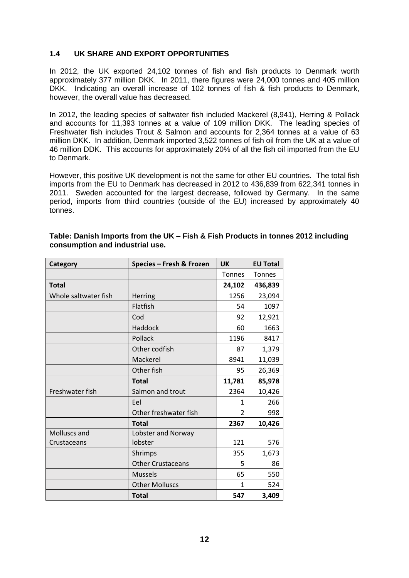#### **1.4 UK SHARE AND EXPORT OPPORTUNITIES**

In 2012, the UK exported 24,102 tonnes of fish and fish products to Denmark worth approximately 377 million DKK. In 2011, there figures were 24,000 tonnes and 405 million DKK. Indicating an overall increase of 102 tonnes of fish & fish products to Denmark, however, the overall value has decreased.

In 2012, the leading species of saltwater fish included Mackerel (8,941), Herring & Pollack and accounts for 11,393 tonnes at a value of 109 million DKK. The leading species of Freshwater fish includes Trout & Salmon and accounts for 2,364 tonnes at a value of 63 million DKK. In addition, Denmark imported 3,522 tonnes of fish oil from the UK at a value of 46 million DDK. This accounts for approximately 20% of all the fish oil imported from the EU to Denmark.

However, this positive UK development is not the same for other EU countries. The total fish imports from the EU to Denmark has decreased in 2012 to 436,839 from 622,341 tonnes in 2011. Sweden accounted for the largest decrease, followed by Germany. In the same period, imports from third countries (outside of the EU) increased by approximately 40 tonnes.

| Category             | Species - Fresh & Frozen | UK            | <b>EU Total</b> |
|----------------------|--------------------------|---------------|-----------------|
|                      |                          | <b>Tonnes</b> | <b>Tonnes</b>   |
| <b>Total</b>         |                          | 24,102        | 436,839         |
| Whole saltwater fish | <b>Herring</b>           | 1256          | 23,094          |
|                      | Flatfish                 | 54            | 1097            |
|                      | Cod                      | 92            | 12,921          |
|                      | Haddock                  | 60            | 1663            |
|                      | Pollack                  | 1196          | 8417            |
|                      | Other codfish            | 87            | 1,379           |
|                      | Mackerel                 | 8941          | 11,039          |
|                      | Other fish               | 95            | 26,369          |
|                      | <b>Total</b>             | 11,781        | 85,978          |
| Freshwater fish      | Salmon and trout         | 2364          | 10,426          |
|                      | Eel                      | 1             | 266             |
|                      | Other freshwater fish    | 2             | 998             |
|                      | <b>Total</b>             | 2367          | 10,426          |
| Molluscs and         | Lobster and Norway       |               |                 |
| Crustaceans          | lobster                  | 121           | 576             |
|                      | Shrimps                  | 355           | 1,673           |
|                      | <b>Other Crustaceans</b> | 5             | 86              |
|                      | <b>Mussels</b>           | 65            | 550             |
|                      | <b>Other Molluscs</b>    | 1             | 524             |
|                      | <b>Total</b>             | 547           | 3,409           |

#### **Table: Danish Imports from the UK – Fish & Fish Products in tonnes 2012 including consumption and industrial use.**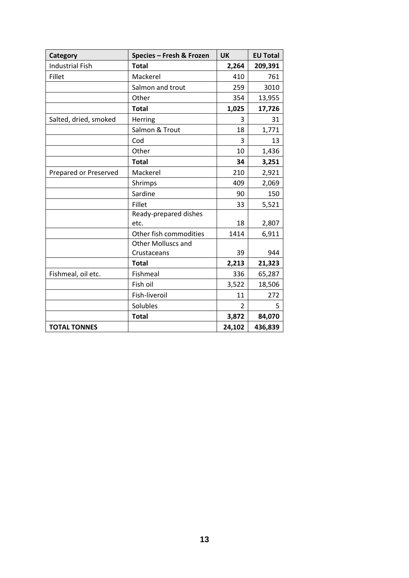| Category               | Species - Fresh & Frozen  | <b>UK</b>      | <b>EU Total</b> |
|------------------------|---------------------------|----------------|-----------------|
| <b>Industrial Fish</b> | <b>Total</b>              | 2,264          | 209,391         |
| Fillet                 | Mackerel                  | 410            | 761             |
|                        | Salmon and trout          | 259            | 3010            |
|                        | Other                     | 354            | 13,955          |
|                        | <b>Total</b>              | 1,025          | 17,726          |
| Salted, dried, smoked  | Herring                   | 3              | 31              |
|                        | Salmon & Trout            | 18             | 1,771           |
|                        | Cod                       | 3              | 13              |
|                        | Other                     | 10             | 1,436           |
|                        | <b>Total</b>              | 34             | 3,251           |
| Prepared or Preserved  | Mackerel                  | 210            | 2,921           |
|                        | Shrimps                   | 409            | 2,069           |
|                        | Sardine                   | 90             | 150             |
|                        | Fillet                    | 33             | 5,521           |
|                        | Ready-prepared dishes     |                |                 |
|                        | etc.                      | 18             | 2,807           |
|                        | Other fish commodities    | 1414           | 6,911           |
|                        | <b>Other Molluscs and</b> |                |                 |
|                        | Crustaceans               | 39             | 944             |
|                        | <b>Total</b>              | 2,213          | 21,323          |
| Fishmeal, oil etc.     | Fishmeal                  | 336            | 65,287          |
|                        | Fish oil                  | 3,522          | 18,506          |
|                        | Fish-liveroil             | 11             | 272             |
|                        | Solubles                  | $\overline{2}$ | 5               |
|                        | <b>Total</b>              | 3,872          | 84,070          |
| <b>TOTAL TONNES</b>    |                           | 24,102         | 436,839         |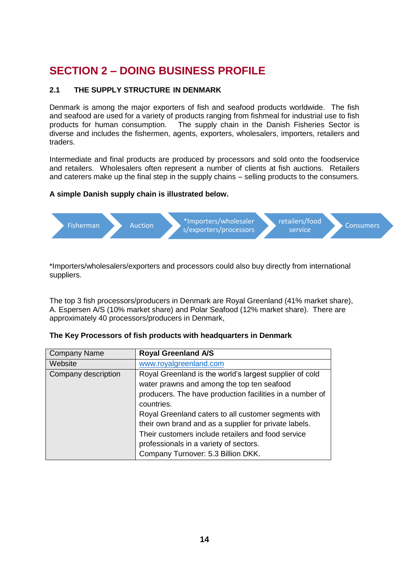## **SECTION 2 – DOING BUSINESS PROFILE**

#### **2.1 THE SUPPLY STRUCTURE IN DENMARK**

Denmark is among the major exporters of fish and seafood products worldwide. The fish and seafood are used for a variety of products ranging from fishmeal for industrial use to fish products for human consumption. The supply chain in the Danish Fisheries Sector is diverse and includes the fishermen, agents, exporters, wholesalers, importers, retailers and traders.

Intermediate and final products are produced by processors and sold onto the foodservice and retailers. Wholesalers often represent a number of clients at fish auctions. Retailers and caterers make up the final step in the supply chains – selling products to the consumers.

#### **A simple Danish supply chain is illustrated below.**



\*Importers/wholesalers/exporters and processors could also buy directly from international suppliers.

The top 3 fish processors/producers in Denmark are Royal Greenland (41% market share), A. Espersen A/S (10% market share) and Polar Seafood (12% market share). There are approximately 40 processors/producers in Denmark,

| <b>Company Name</b> | <b>Royal Greenland A/S</b>                               |
|---------------------|----------------------------------------------------------|
| Website             | www.royalgreenland.com                                   |
| Company description | Royal Greenland is the world's largest supplier of cold  |
|                     | water prawns and among the top ten seafood               |
|                     | producers. The have production facilities in a number of |
|                     | countries.                                               |
|                     | Royal Greenland caters to all customer segments with     |
|                     | their own brand and as a supplier for private labels.    |
|                     | Their customers include retailers and food service       |
|                     | professionals in a variety of sectors.                   |
|                     | Company Turnover: 5.3 Billion DKK.                       |

|  |  | The Key Processors of fish products with headquarters in Denmark |  |  |  |  |
|--|--|------------------------------------------------------------------|--|--|--|--|
|--|--|------------------------------------------------------------------|--|--|--|--|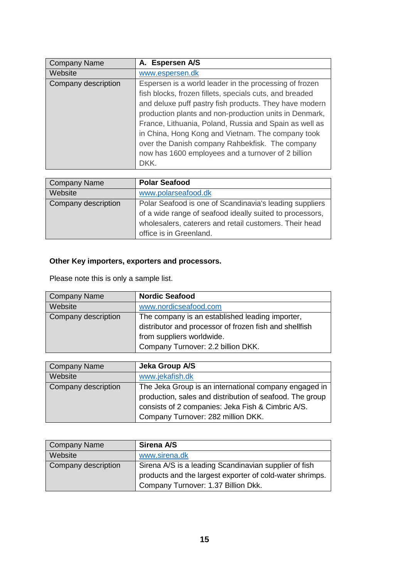| <b>Company Name</b> | A. Espersen A/S                                                                                                                                                                                                                                                                                                                                                                                                                                                       |
|---------------------|-----------------------------------------------------------------------------------------------------------------------------------------------------------------------------------------------------------------------------------------------------------------------------------------------------------------------------------------------------------------------------------------------------------------------------------------------------------------------|
| Website             | www.espersen.dk                                                                                                                                                                                                                                                                                                                                                                                                                                                       |
| Company description | Espersen is a world leader in the processing of frozen<br>fish blocks, frozen fillets, specials cuts, and breaded<br>and deluxe puff pastry fish products. They have modern<br>production plants and non-production units in Denmark,<br>France, Lithuania, Poland, Russia and Spain as well as<br>in China, Hong Kong and Vietnam. The company took<br>over the Danish company Rahbekfisk. The company<br>now has 1600 employees and a turnover of 2 billion<br>DKK. |

| Company Name        | <b>Polar Seafood</b>                                     |
|---------------------|----------------------------------------------------------|
| Website             | www.polarseafood.dk                                      |
| Company description | Polar Seafood is one of Scandinavia's leading suppliers  |
|                     | of a wide range of seafood ideally suited to processors, |
|                     | wholesalers, caterers and retail customers. Their head   |
|                     | office is in Greenland.                                  |

## **Other Key importers, exporters and processors.**

Please note this is only a sample list.

| Company Name        | <b>Nordic Seafood</b>                                                                                                                                                        |
|---------------------|------------------------------------------------------------------------------------------------------------------------------------------------------------------------------|
| Website             | www.nordicseafood.com                                                                                                                                                        |
| Company description | The company is an established leading importer,<br>distributor and processor of frozen fish and shellfish<br>from suppliers worldwide.<br>Company Turnover: 2.2 billion DKK. |

| Company Name        | Jeka Group A/S                                           |
|---------------------|----------------------------------------------------------|
| Website             | www.jekafish.dk                                          |
| Company description | The Jeka Group is an international company engaged in    |
|                     | production, sales and distribution of seafood. The group |
|                     | consists of 2 companies: Jeka Fish & Cimbric A/S.        |
|                     | Company Turnover: 282 million DKK.                       |

| Company Name        | Sirena A/S                                               |
|---------------------|----------------------------------------------------------|
| Website             | www.sirena.dk                                            |
| Company description | Sirena A/S is a leading Scandinavian supplier of fish    |
|                     | products and the largest exporter of cold-water shrimps. |
|                     | Company Turnover: 1.37 Billion Dkk.                      |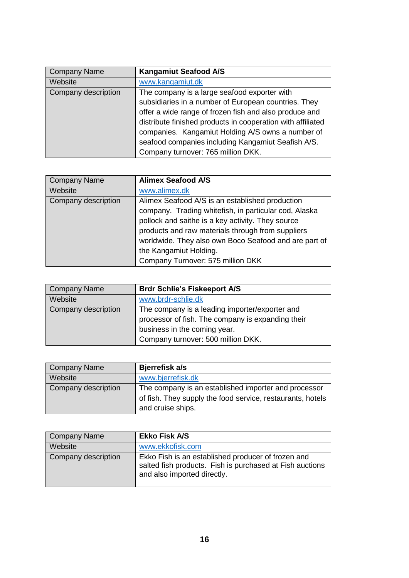| Company Name        | <b>Kangamiut Seafood A/S</b>                                |
|---------------------|-------------------------------------------------------------|
| Website             | www.kangamiut.dk                                            |
| Company description | The company is a large seafood exporter with                |
|                     | subsidiaries in a number of European countries. They        |
|                     | offer a wide range of frozen fish and also produce and      |
|                     | distribute finished products in cooperation with affiliated |
|                     | companies. Kangamiut Holding A/S owns a number of           |
|                     | seafood companies including Kangamiut Seafish A/S.          |
|                     | Company turnover: 765 million DKK.                          |

| Company Name        | <b>Alimex Seafood A/S</b>                             |
|---------------------|-------------------------------------------------------|
| Website             | www.alimex.dk                                         |
| Company description | Alimex Seafood A/S is an established production       |
|                     | company. Trading whitefish, in particular cod, Alaska |
|                     | pollock and saithe is a key activity. They source     |
|                     | products and raw materials through from suppliers     |
|                     | worldwide. They also own Boco Seafood and are part of |
|                     | the Kangamiut Holding.                                |
|                     | Company Turnover: 575 million DKK                     |

| Company Name        | <b>Brdr Schlie's Fiskeeport A/S</b>                                                                                                                                       |
|---------------------|---------------------------------------------------------------------------------------------------------------------------------------------------------------------------|
| Website             | www.brdr-schlie.dk                                                                                                                                                        |
| Company description | The company is a leading importer/exporter and<br>processor of fish. The company is expanding their<br>business in the coming year.<br>Company turnover: 500 million DKK. |

| Company Name        | Bjerrefisk a/s                                             |
|---------------------|------------------------------------------------------------|
| Website             | www.bjerrefisk.dk                                          |
| Company description | The company is an established importer and processor       |
|                     | of fish. They supply the food service, restaurants, hotels |
|                     | and cruise ships.                                          |

| Company Name        | <b>Ekko Fisk A/S</b>                                                                                                                          |
|---------------------|-----------------------------------------------------------------------------------------------------------------------------------------------|
| Website             | www.ekkofisk.com                                                                                                                              |
| Company description | Ekko Fish is an established producer of frozen and<br>salted fish products. Fish is purchased at Fish auctions<br>and also imported directly. |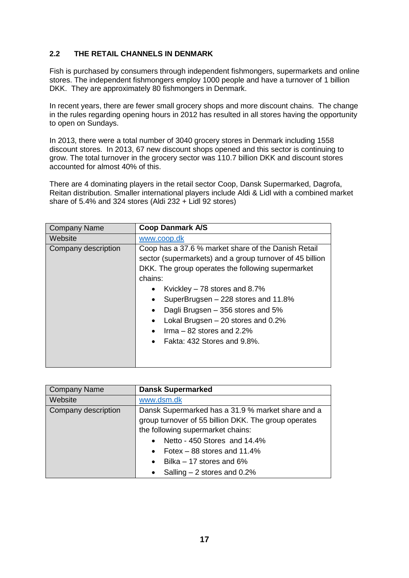### **2.2 THE RETAIL CHANNELS IN DENMARK**

Fish is purchased by consumers through independent fishmongers, supermarkets and online stores. The independent fishmongers employ 1000 people and have a turnover of 1 billion DKK. They are approximately 80 fishmongers in Denmark.

In recent years, there are fewer small grocery shops and more discount chains. The change in the rules regarding opening hours in 2012 has resulted in all stores having the opportunity to open on Sundays.

In 2013, there were a total number of 3040 grocery stores in Denmark including 1558 discount stores. In 2013, 67 new discount shops opened and this sector is continuing to grow. The total turnover in the grocery sector was 110.7 billion DKK and discount stores accounted for almost 40% of this.

There are 4 dominating players in the retail sector Coop, Dansk Supermarked, Dagrofa, Reitan distribution. Smaller international players include Aldi & Lidl with a combined market share of 5.4% and 324 stores (Aldi 232 + Lidl 92 stores)

| <b>Company Name</b> | <b>Coop Danmark A/S</b>                                                                                                                                                                                                                                                                                                                                                                                             |
|---------------------|---------------------------------------------------------------------------------------------------------------------------------------------------------------------------------------------------------------------------------------------------------------------------------------------------------------------------------------------------------------------------------------------------------------------|
| Website             | www.coop.dk                                                                                                                                                                                                                                                                                                                                                                                                         |
| Company description | Coop has a 37.6 % market share of the Danish Retail<br>sector (supermarkets) and a group turnover of 45 billion<br>DKK. The group operates the following supermarket<br>chains:<br>Kvickley $-78$ stores and 8.7%<br>SuperBrugsen - 228 stores and 11.8%<br>٠<br>Dagli Brugsen – 356 stores and 5%<br>٠<br>Lokal Brugsen $-20$ stores and 0.2%<br>$\text{lrma} - 82$ stores and 2.2%<br>Fakta: 432 Stores and 9.8%. |

| <b>Company Name</b> | <b>Dansk Supermarked</b>                             |
|---------------------|------------------------------------------------------|
| Website             | www.dsm.dk                                           |
| Company description | Dansk Supermarked has a 31.9 % market share and a    |
|                     | group turnover of 55 billion DKK. The group operates |
|                     | the following supermarket chains:                    |
|                     | Netto - 450 Stores and 14.4%                         |
|                     | Fotex $-$ 88 stores and 11.4%<br>$\bullet$           |
|                     | Bilka $-17$ stores and 6%<br>$\bullet$               |
|                     | Salling $-2$ stores and 0.2%                         |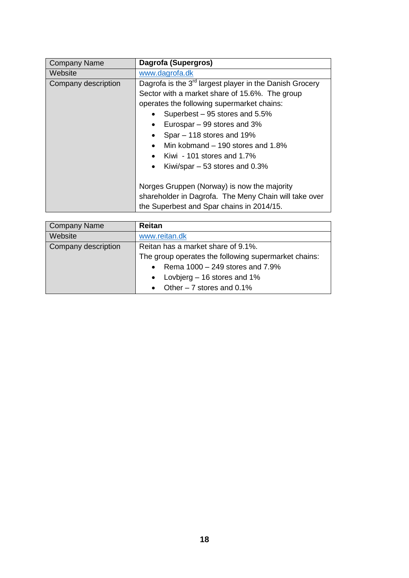| <b>Company Name</b> | Dagrofa (Supergros)                                                                                                                                                                                                                                                                                                                                                     |
|---------------------|-------------------------------------------------------------------------------------------------------------------------------------------------------------------------------------------------------------------------------------------------------------------------------------------------------------------------------------------------------------------------|
| Website             | www.dagrofa.dk                                                                                                                                                                                                                                                                                                                                                          |
| Company description | Dagrofa is the 3 <sup>rd</sup> largest player in the Danish Grocery<br>Sector with a market share of 15.6%. The group<br>operates the following supermarket chains:<br>Superbest – 95 stores and 5.5%<br>Eurospar - 99 stores and 3%<br>Spar – 118 stores and 19%<br>Min kobmand – 190 stores and 1.8%<br>Kiwi - 101 stores and 1.7%<br>Kiwi/spar $-53$ stores and 0.3% |
|                     | Norges Gruppen (Norway) is now the majority<br>shareholder in Dagrofa. The Meny Chain will take over<br>the Superbest and Spar chains in 2014/15.                                                                                                                                                                                                                       |

| <b>Company Name</b> | <b>Reitan</b>                                        |
|---------------------|------------------------------------------------------|
| Website             | www.reitan.dk                                        |
| Company description | Reitan has a market share of 9.1%.                   |
|                     | The group operates the following supermarket chains: |
|                     | • Rema $1000 - 249$ stores and $7.9\%$               |
|                     | Lovbjerg – 16 stores and 1%<br>$\bullet$             |
|                     | Other $-7$ stores and 0.1%                           |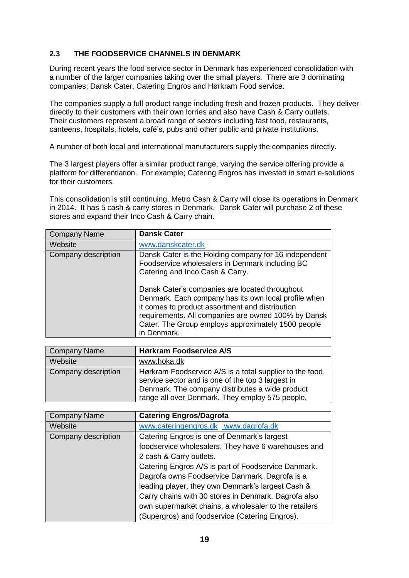### **2.3 THE FOODSERVICE CHANNELS IN DENMARK**

During recent years the food service sector in Denmark has experienced consolidation with a number of the larger companies taking over the small players. There are 3 dominating companies; Dansk Cater, Catering Engros and Hørkram Food service.

The companies supply a full product range including fresh and frozen products. They deliver directly to their customers with their own lorries and also have Cash & Carry outlets. Their customers represent a broad range of sectors including fast food, restaurants, canteens, hospitals, hotels, café's, pubs and other public and private institutions.

A number of both local and international manufacturers supply the companies directly.

The 3 largest players offer a similar product range, varying the service offering provide a platform for differentiation. For example; Catering Engros has invested in smart e-solutions for their customers.

This consolidation is still continuing, Metro Cash & Carry will close its operations in Denmark in 2014. It has 5 cash & carry stores in Denmark. Dansk Cater will purchase 2 of these stores and expand their Inco Cash & Carry chain.

| <b>Company Name</b> | <b>Dansk Cater</b>                                                                                                                                                                                                                  |
|---------------------|-------------------------------------------------------------------------------------------------------------------------------------------------------------------------------------------------------------------------------------|
| Website             | www.danskcater.dk                                                                                                                                                                                                                   |
| Company description | Dansk Cater is the Holding company for 16 independent<br>Foodservice wholesalers in Denmark including BC<br>Catering and Inco Cash & Carry.<br>Dansk Cater's companies are located throughout                                       |
|                     | Denmark. Each company has its own local profile when<br>it comes to product assortment and distribution<br>requirements. All companies are owned 100% by Dansk<br>Cater. The Group employs approximately 1500 people<br>in Denmark. |

| Company Name        | <b>Hørkram Foodservice A/S</b>                                                                                                                                                                                     |
|---------------------|--------------------------------------------------------------------------------------------------------------------------------------------------------------------------------------------------------------------|
| Website             | www.hoka.dk                                                                                                                                                                                                        |
| Company description | Hørkram Foodservice A/S is a total supplier to the food<br>service sector and is one of the top 3 largest in<br>Denmark. The company distributes a wide product<br>range all over Denmark. They employ 575 people. |

| <b>Company Name</b>        | <b>Catering Engros/Dagrofa</b>                        |
|----------------------------|-------------------------------------------------------|
| Website                    | www.cateringengros.dk www.dagrofa.dk                  |
| <b>Company description</b> | Catering Engros is one of Denmark's largest           |
|                            | foodservice wholesalers. They have 6 warehouses and   |
|                            | 2 cash & Carry outlets.                               |
|                            | Catering Engros A/S is part of Foodservice Danmark.   |
|                            | Dagrofa owns Foodservice Danmark. Dagrofa is a        |
|                            | leading player, they own Denmark's largest Cash &     |
|                            | Carry chains with 30 stores in Denmark. Dagrofa also  |
|                            | own supermarket chains, a wholesaler to the retailers |
|                            | (Supergros) and foodservice (Catering Engros).        |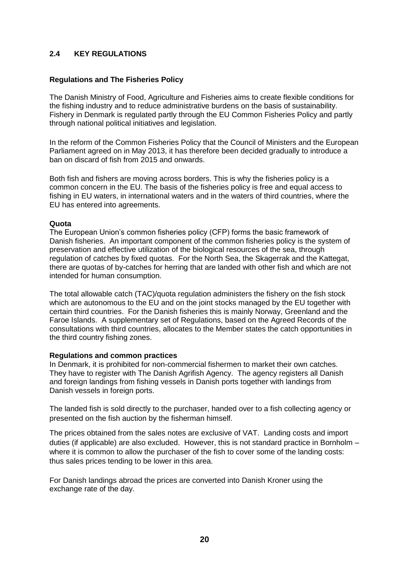#### **2.4 KEY REGULATIONS**

#### **Regulations and The Fisheries Policy**

The Danish Ministry of Food, Agriculture and Fisheries aims to create flexible conditions for the fishing industry and to reduce administrative burdens on the basis of sustainability. Fishery in Denmark is regulated partly through the EU Common Fisheries Policy and partly through national political initiatives and legislation.

In the reform of the Common Fisheries Policy that the Council of Ministers and the European Parliament agreed on in May 2013, it has therefore been decided gradually to introduce a ban on discard of fish from 2015 and onwards.

Both fish and fishers are moving across borders. This is why the fisheries policy is a common concern in the EU. The basis of the fisheries policy is free and equal access to fishing in EU waters, in international waters and in the waters of third countries, where the EU has entered into agreements.

#### **Quota**

The European Union's common fisheries policy (CFP) forms the basic framework of Danish fisheries. An important component of the common fisheries policy is the system of preservation and effective utilization of the biological resources of the sea, through regulation of catches by fixed quotas. For the North Sea, the Skagerrak and the Kattegat, there are quotas of by-catches for herring that are landed with other fish and which are not intended for human consumption.

The total allowable catch (TAC)/quota regulation administers the fishery on the fish stock which are autonomous to the EU and on the joint stocks managed by the EU together with certain third countries. For the Danish fisheries this is mainly Norway, Greenland and the Faroe Islands. A supplementary set of Regulations, based on the Agreed Records of the consultations with third countries, allocates to the Member states the catch opportunities in the third country fishing zones.

#### **Regulations and common practices**

In Denmark, it is prohibited for non-commercial fishermen to market their own catches. They have to register with The Danish Agrifish Agency. The agency registers all Danish and foreign landings from fishing vessels in Danish ports together with landings from Danish vessels in foreign ports.

The landed fish is sold directly to the purchaser, handed over to a fish collecting agency or presented on the fish auction by the fisherman himself.

The prices obtained from the sales notes are exclusive of VAT. Landing costs and import duties (if applicable) are also excluded. However, this is not standard practice in Bornholm – where it is common to allow the purchaser of the fish to cover some of the landing costs: thus sales prices tending to be lower in this area.

For Danish landings abroad the prices are converted into Danish Kroner using the exchange rate of the day.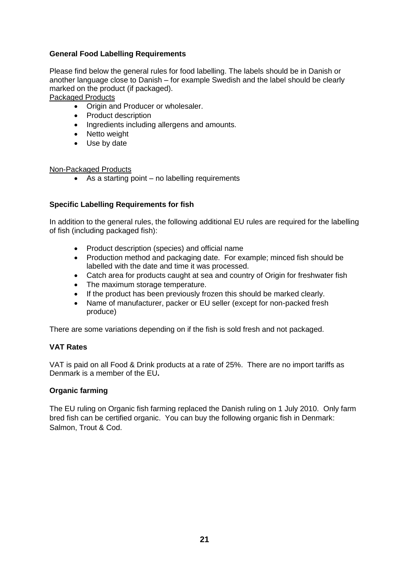#### **General Food Labelling Requirements**

Please find below the general rules for food labelling. The labels should be in Danish or another language close to Danish – for example Swedish and the label should be clearly marked on the product (if packaged).

Packaged Products

- Origin and Producer or wholesaler.
- Product description
- Ingredients including allergens and amounts.
- Netto weight
- Use by date

#### Non-Packaged Products

• As a starting point – no labelling requirements

#### **Specific Labelling Requirements for fish**

In addition to the general rules, the following additional EU rules are required for the labelling of fish (including packaged fish):

- Product description (species) and official name
- Production method and packaging date. For example; minced fish should be labelled with the date and time it was processed.
- Catch area for products caught at sea and country of Origin for freshwater fish
- The maximum storage temperature.
- If the product has been previously frozen this should be marked clearly.
- Name of manufacturer, packer or EU seller (except for non-packed fresh produce)

There are some variations depending on if the fish is sold fresh and not packaged.

#### **VAT Rates**

VAT is paid on all Food & Drink products at a rate of 25%. There are no import tariffs as Denmark is a member of the EU**.**

#### **Organic farming**

The EU ruling on Organic fish farming replaced the Danish ruling on 1 July 2010. Only farm bred fish can be certified organic. You can buy the following organic fish in Denmark: Salmon, Trout & Cod.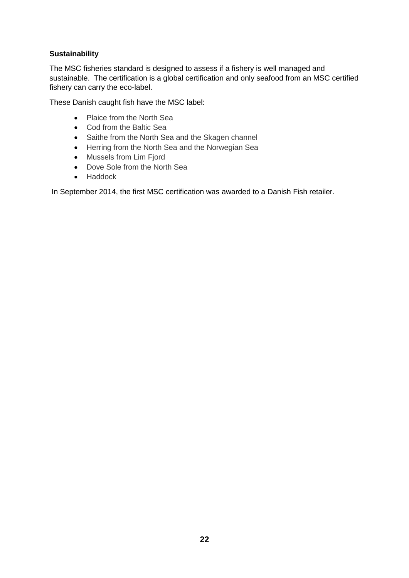## **Sustainability**

The MSC fisheries standard is designed to assess if a fishery is well managed and sustainable. The certification is a global certification and only seafood from an MSC certified fishery can carry the eco-label.

These Danish caught fish have the MSC label:

- Plaice from the North Sea
- Cod from the Baltic Sea
- Saithe from the North Sea and the Skagen channel
- Herring from the North Sea and the Norwegian Sea
- Mussels from Lim Fjord
- Dove Sole from the North Sea
- Haddock

In September 2014, the first MSC certification was awarded to a Danish Fish retailer.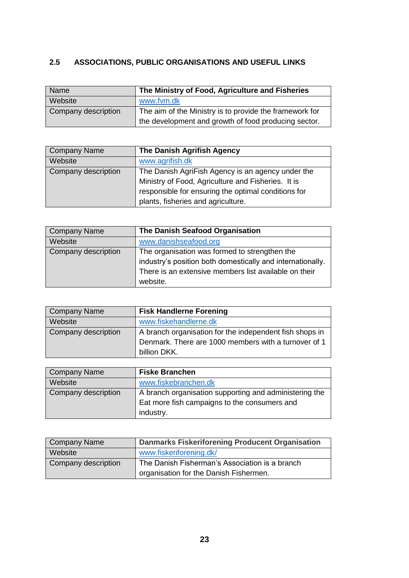## **2.5 ASSOCIATIONS, PUBLIC ORGANISATIONS AND USEFUL LINKS**

| Name                | The Ministry of Food, Agriculture and Fisheries         |
|---------------------|---------------------------------------------------------|
| Website             | www.fvm.dk                                              |
| Company description | The aim of the Ministry is to provide the framework for |
|                     | the development and growth of food producing sector.    |

| Company Name        | The Danish Agrifish Agency                          |
|---------------------|-----------------------------------------------------|
| Website             | www.agrifish.dk                                     |
| Company description | The Danish AgriFish Agency is an agency under the   |
|                     | Ministry of Food, Agriculture and Fisheries. It is  |
|                     | responsible for ensuring the optimal conditions for |
|                     | plants, fisheries and agriculture.                  |

| Company Name        | The Danish Seafood Organisation                            |
|---------------------|------------------------------------------------------------|
| Website             | www.danishseafood.org                                      |
| Company description | The organisation was formed to strengthen the              |
|                     | industry's position both domestically and internationally. |
|                     | There is an extensive members list available on their      |
|                     | website.                                                   |

| Company Name        | <b>Fisk Handlerne Forening</b>                          |
|---------------------|---------------------------------------------------------|
| Website             | www.fiskehandlerne.dk                                   |
| Company description | A branch organisation for the independent fish shops in |
|                     | Denmark. There are 1000 members with a turnover of 1    |
|                     | billion DKK.                                            |

| Company Name        | <b>Fiske Branchen</b>                                  |
|---------------------|--------------------------------------------------------|
| Website             | www.fiskebranchen.dk                                   |
| Company description | A branch organisation supporting and administering the |
|                     | Eat more fish campaigns to the consumers and           |
|                     | industry.                                              |

| Company Name        | <b>Danmarks Fiskeriforening Producent Organisation</b> |
|---------------------|--------------------------------------------------------|
| Website             | www.fiskeriforening.dk/                                |
| Company description | The Danish Fisherman's Association is a branch         |
|                     | organisation for the Danish Fishermen.                 |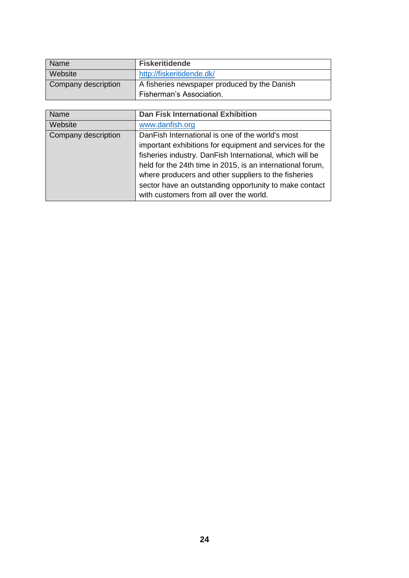| Name                | <b>Fiskeritidende</b>                        |
|---------------------|----------------------------------------------|
| <b>Website</b>      | http://fiskeritidende.dk/                    |
| Company description | A fisheries newspaper produced by the Danish |
|                     | Fisherman's Association.                     |

| <b>Name</b>         | <b>Dan Fisk International Exhibition</b>                   |
|---------------------|------------------------------------------------------------|
| Website             | www.danfish.org                                            |
| Company description | DanFish International is one of the world's most           |
|                     | important exhibitions for equipment and services for the   |
|                     | fisheries industry. DanFish International, which will be   |
|                     | held for the 24th time in 2015, is an international forum, |
|                     | where producers and other suppliers to the fisheries       |
|                     | sector have an outstanding opportunity to make contact     |
|                     | with customers from all over the world.                    |